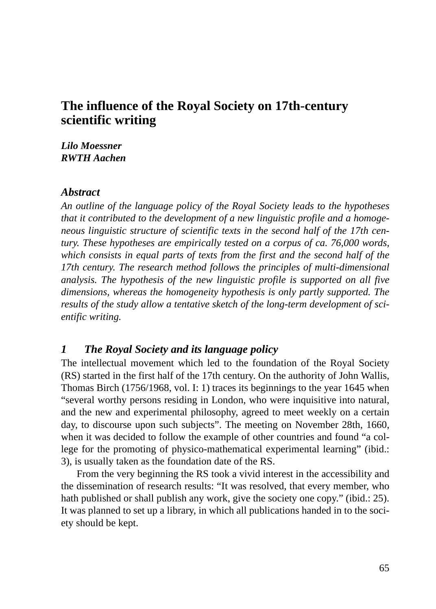# **The influence of the Royal Society on 17th-century scientific writing**

*Lilo Moessner RWTH Aachen*

#### *Abstract*

*An outline of the language policy of the Royal Society leads to the hypotheses that it contributed to the development of a new linguistic profile and a homogeneous linguistic structure of scientific texts in the second half of the 17th century. These hypotheses are empirically tested on a corpus of ca. 76,000 words, which consists in equal parts of texts from the first and the second half of the 17th century. The research method follows the principles of multi-dimensional analysis. The hypothesis of the new linguistic profile is supported on all five dimensions, whereas the homogeneity hypothesis is only partly supported. The results of the study allow a tentative sketch of the long-term development of scientific writing.*

### *1 The Royal Society and its language policy*

The intellectual movement which led to the foundation of the Royal Society (RS) started in the first half of the 17th century. On the authority of John Wallis, Thomas Birch (1756/1968, vol. I: 1) traces its beginnings to the year 1645 when "several worthy persons residing in London, who were inquisitive into natural, and the new and experimental philosophy, agreed to meet weekly on a certain day, to discourse upon such subjects". The meeting on November 28th, 1660, when it was decided to follow the example of other countries and found "a college for the promoting of physico-mathematical experimental learning" (ibid.: 3), is usually taken as the foundation date of the RS.

From the very beginning the RS took a vivid interest in the accessibility and the dissemination of research results: "It was resolved, that every member, who hath published or shall publish any work, give the society one copy." (ibid.: 25). It was planned to set up a library, in which all publications handed in to the society should be kept.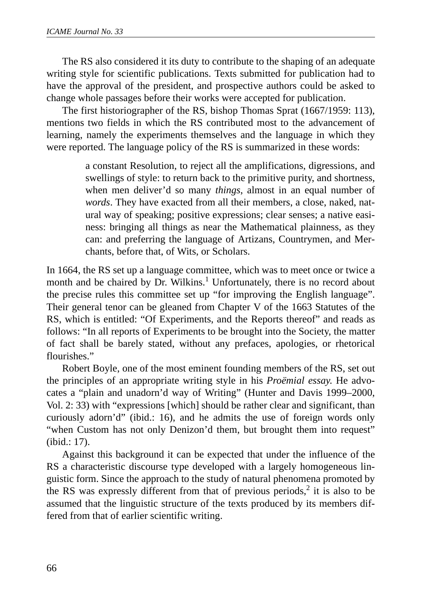The RS also considered it its duty to contribute to the shaping of an adequate writing style for scientific publications. Texts submitted for publication had to have the approval of the president, and prospective authors could be asked to change whole passages before their works were accepted for publication.

The first historiographer of the RS, bishop Thomas Sprat (1667/1959: 113), mentions two fields in which the RS contributed most to the advancement of learning, namely the experiments themselves and the language in which they were reported. The language policy of the RS is summarized in these words:

> a constant Resolution, to reject all the amplifications, digressions, and swellings of style: to return back to the primitive purity, and shortness, when men deliver'd so many *things*, almost in an equal number of *words*. They have exacted from all their members, a close, naked, natural way of speaking; positive expressions; clear senses; a native easiness: bringing all things as near the Mathematical plainness, as they can: and preferring the language of Artizans, Countrymen, and Merchants, before that, of Wits, or Scholars.

In 1664, the RS set up a language committee, which was to meet once or twice a month and be chaired by Dr. Wilkins.<sup>1</sup> Unfortunately, there is no record about the precise rules this committee set up "for improving the English language". Their general tenor can be gleaned from Chapter V of the 1663 Statutes of the RS, which is entitled: "Of Experiments, and the Reports thereof" and reads as follows: "In all reports of Experiments to be brought into the Society, the matter of fact shall be barely stated, without any prefaces, apologies, or rhetorical flourishes."

Robert Boyle, one of the most eminent founding members of the RS, set out the principles of an appropriate writing style in his *Proëmial essay*. He advocates a "plain and unadorn'd way of Writing" (Hunter and Davis 1999–2000, Vol. 2: 33) with "expressions [which] should be rather clear and significant, than curiously adorn'd" (ibid.: 16), and he admits the use of foreign words only "when Custom has not only Denizon'd them, but brought them into request" (ibid.: 17).

Against this background it can be expected that under the influence of the RS a characteristic discourse type developed with a largely homogeneous linguistic form. Since the approach to the study of natural phenomena promoted by the RS was expressly different from that of previous periods,<sup>2</sup> it is also to be assumed that the linguistic structure of the texts produced by its members differed from that of earlier scientific writing.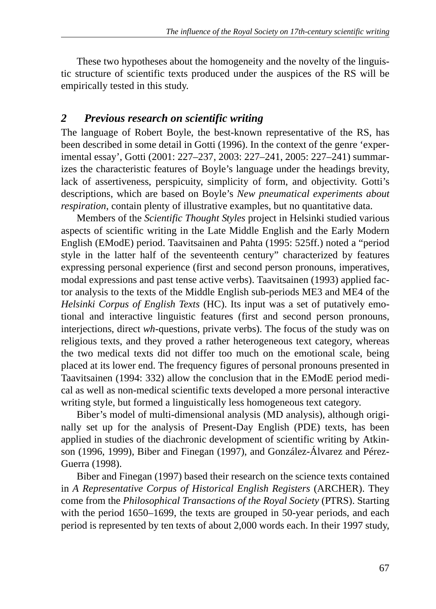These two hypotheses about the homogeneity and the novelty of the linguistic structure of scientific texts produced under the auspices of the RS will be empirically tested in this study.

# *2 Previous research on scientific writing*

The language of Robert Boyle, the best-known representative of the RS, has been described in some detail in Gotti (1996). In the context of the genre 'experimental essay', Gotti (2001: 227–237, 2003: 227–241, 2005: 227–241) summarizes the characteristic features of Boyle's language under the headings brevity, lack of assertiveness, perspicuity, simplicity of form, and objectivity. Gotti's descriptions, which are based on Boyle's *New pneumatical experiments about respiration*, contain plenty of illustrative examples, but no quantitative data.

Members of the *Scientific Thought Styles* project in Helsinki studied various aspects of scientific writing in the Late Middle English and the Early Modern English (EModE) period. Taavitsainen and Pahta (1995: 525ff.) noted a "period style in the latter half of the seventeenth century" characterized by features expressing personal experience (first and second person pronouns, imperatives, modal expressions and past tense active verbs). Taavitsainen (1993) applied factor analysis to the texts of the Middle English sub-periods ME3 and ME4 of the *Helsinki Corpus of English Texts* (HC). Its input was a set of putatively emotional and interactive linguistic features (first and second person pronouns, interjections, direct *wh*-questions, private verbs). The focus of the study was on religious texts, and they proved a rather heterogeneous text category, whereas the two medical texts did not differ too much on the emotional scale, being placed at its lower end. The frequency figures of personal pronouns presented in Taavitsainen (1994: 332) allow the conclusion that in the EModE period medical as well as non-medical scientific texts developed a more personal interactive writing style, but formed a linguistically less homogeneous text category.

Biber's model of multi-dimensional analysis (MD analysis), although originally set up for the analysis of Present-Day English (PDE) texts, has been applied in studies of the diachronic development of scientific writing by Atkinson (1996, 1999), Biber and Finegan (1997), and González-Álvarez and Pérez-Guerra (1998).

Biber and Finegan (1997) based their research on the science texts contained in *A Representative Corpus of Historical English Registers* (ARCHER). They come from the *Philosophical Transactions of the Royal Society* (PTRS). Starting with the period 1650–1699, the texts are grouped in 50-year periods, and each period is represented by ten texts of about 2,000 words each. In their 1997 study,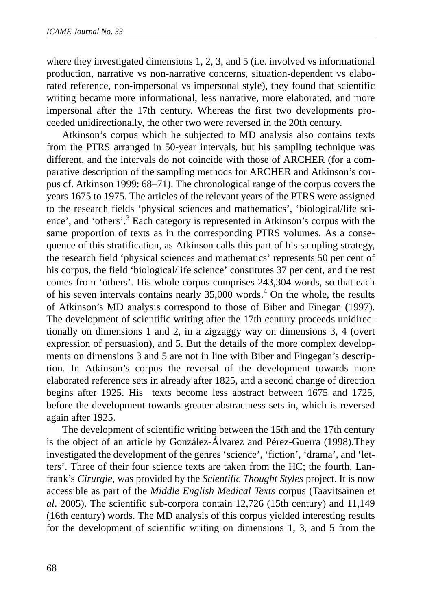where they investigated dimensions 1, 2, 3, and 5 (i.e. involved vs informational production, narrative vs non-narrative concerns, situation-dependent vs elaborated reference, non-impersonal vs impersonal style), they found that scientific writing became more informational, less narrative, more elaborated, and more impersonal after the 17th century. Whereas the first two developments proceeded unidirectionally, the other two were reversed in the 20th century.

Atkinson's corpus which he subjected to MD analysis also contains texts from the PTRS arranged in 50-year intervals, but his sampling technique was different, and the intervals do not coincide with those of ARCHER (for a comparative description of the sampling methods for ARCHER and Atkinson's corpus cf. Atkinson 1999: 68–71). The chronological range of the corpus covers the years 1675 to 1975. The articles of the relevant years of the PTRS were assigned to the research fields 'physical sciences and mathematics', 'biological/life science', and 'others'.<sup>3</sup> Each category is represented in Atkinson's corpus with the same proportion of texts as in the corresponding PTRS volumes. As a consequence of this stratification, as Atkinson calls this part of his sampling strategy, the research field 'physical sciences and mathematics' represents 50 per cent of his corpus, the field 'biological/life science' constitutes 37 per cent, and the rest comes from 'others'. His whole corpus comprises 243,304 words, so that each of his seven intervals contains nearly  $35,000$  words.<sup>4</sup> On the whole, the results of Atkinson's MD analysis correspond to those of Biber and Finegan (1997). The development of scientific writing after the 17th century proceeds unidirectionally on dimensions 1 and 2, in a zigzaggy way on dimensions 3, 4 (overt expression of persuasion), and 5. But the details of the more complex developments on dimensions 3 and 5 are not in line with Biber and Fingegan's description. In Atkinson's corpus the reversal of the development towards more elaborated reference sets in already after 1825, and a second change of direction begins after 1925. His texts become less abstract between 1675 and 1725, before the development towards greater abstractness sets in, which is reversed again after 1925.

The development of scientific writing between the 15th and the 17th century is the object of an article by González-Álvarez and Pérez-Guerra (1998).They investigated the development of the genres 'science', 'fiction', 'drama', and 'letters'. Three of their four science texts are taken from the HC; the fourth, Lanfrank's *Cirurgie*, was provided by the *Scientific Thought Styles* project. It is now accessible as part of the *Middle English Medical Texts* corpus (Taavitsainen *et al*. 2005). The scientific sub-corpora contain 12,726 (15th century) and 11,149 (16th century) words. The MD analysis of this corpus yielded interesting results for the development of scientific writing on dimensions 1, 3, and 5 from the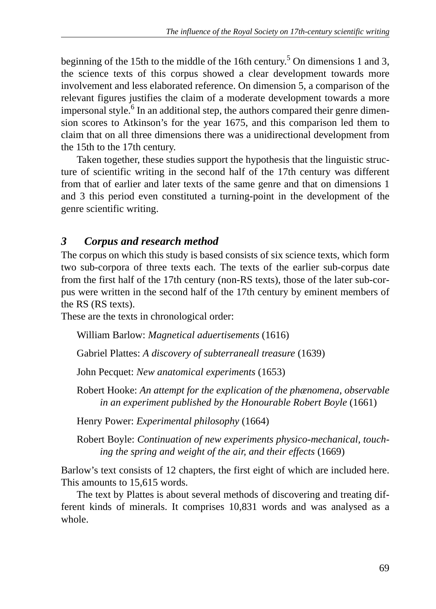beginning of the 15th to the middle of the 16th century.<sup>5</sup> On dimensions 1 and 3, the science texts of this corpus showed a clear development towards more involvement and less elaborated reference. On dimension 5, a comparison of the relevant figures justifies the claim of a moderate development towards a more impersonal style.<sup>6</sup> In an additional step, the authors compared their genre dimension scores to Atkinson's for the year 1675, and this comparison led them to claim that on all three dimensions there was a unidirectional development from the 15th to the 17th century.

Taken together, these studies support the hypothesis that the linguistic structure of scientific writing in the second half of the 17th century was different from that of earlier and later texts of the same genre and that on dimensions 1 and 3 this period even constituted a turning-point in the development of the genre scientific writing.

# *3 Corpus and research method*

The corpus on which this study is based consists of six science texts, which form two sub-corpora of three texts each. The texts of the earlier sub-corpus date from the first half of the 17th century (non-RS texts), those of the later sub-corpus were written in the second half of the 17th century by eminent members of the RS (RS texts).

These are the texts in chronological order:

William Barlow: *Magnetical aduertisements* (1616)

Gabriel Plattes: *A discovery of subterraneall treasure* (1639)

John Pecquet: *New anatomical experiments* (1653)

Robert Hooke: *An attempt for the explication of the phænomena, observable in an experiment published by the Honourable Robert Boyle* (1661)

Henry Power: *Experimental philosophy* (1664)

Robert Boyle: *Continuation of new experiments physico-mechanical, touching the spring and weight of the air, and their effects* (1669)

Barlow's text consists of 12 chapters, the first eight of which are included here. This amounts to 15,615 words.

The text by Plattes is about several methods of discovering and treating different kinds of minerals. It comprises 10,831 words and was analysed as a whole.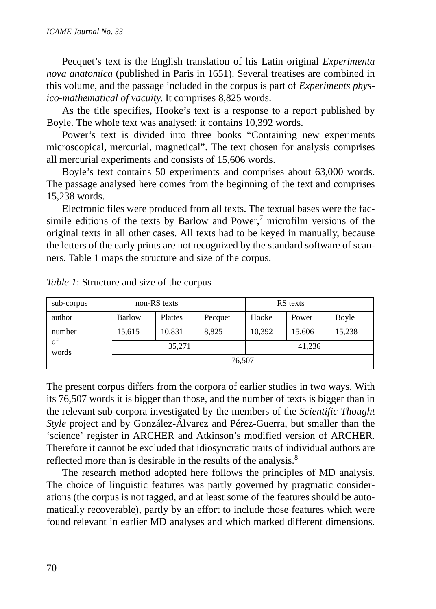Pecquet's text is the English translation of his Latin original *Experimenta nova anatomica* (published in Paris in 1651). Several treatises are combined in this volume, and the passage included in the corpus is part of *Experiments physico-mathematical of vacuity*. It comprises 8,825 words.

As the title specifies, Hooke's text is a response to a report published by Boyle. The whole text was analysed; it contains 10,392 words.

Power's text is divided into three books "Containing new experiments microscopical, mercurial, magnetical". The text chosen for analysis comprises all mercurial experiments and consists of 15,606 words.

Boyle's text contains 50 experiments and comprises about 63,000 words. The passage analysed here comes from the beginning of the text and comprises 15,238 words.

Electronic files were produced from all texts. The textual bases were the facsimile editions of the texts by Barlow and Power, $^7$  microfilm versions of the original texts in all other cases. All texts had to be keyed in manually, because the letters of the early prints are not recognized by the standard software of scanners. Table 1 maps the structure and size of the corpus.

| sub-corpus  | non-RS texts |         |         | RS texts |        |        |  |
|-------------|--------------|---------|---------|----------|--------|--------|--|
| author      | Barlow       | Plattes | Pecquet | Hooke    | Power  | Boyle  |  |
| number      | 15,615       | 10,831  | 8.825   | 10,392   | 15,606 | 15,238 |  |
| of<br>words |              | 35,271  |         |          | 41,236 |        |  |
|             | 76,507       |         |         |          |        |        |  |

*Table 1*: Structure and size of the corpus

The present corpus differs from the corpora of earlier studies in two ways. With its 76,507 words it is bigger than those, and the number of texts is bigger than in the relevant sub-corpora investigated by the members of the *Scientific Thought Style* project and by González-Álvarez and Pérez-Guerra, but smaller than the 'science' register in ARCHER and Atkinson's modified version of ARCHER. Therefore it cannot be excluded that idiosyncratic traits of individual authors are reflected more than is desirable in the results of the analysis.<sup>8</sup>

The research method adopted here follows the principles of MD analysis. The choice of linguistic features was partly governed by pragmatic considerations (the corpus is not tagged, and at least some of the features should be automatically recoverable), partly by an effort to include those features which were found relevant in earlier MD analyses and which marked different dimensions.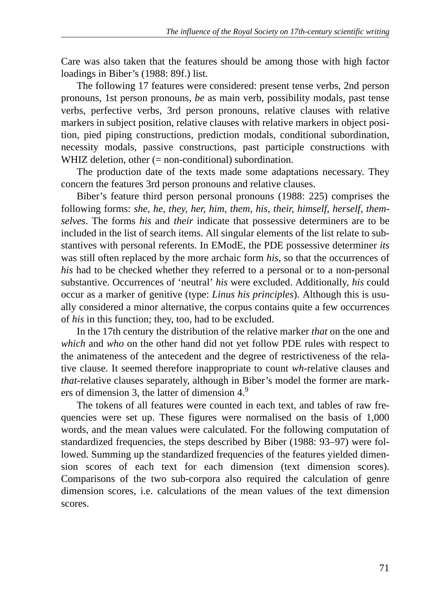Care was also taken that the features should be among those with high factor loadings in Biber's (1988: 89f.) list.

The following 17 features were considered: present tense verbs, 2nd person pronouns, 1st person pronouns, *be* as main verb, possibility modals, past tense verbs, perfective verbs, 3rd person pronouns, relative clauses with relative markers in subject position, relative clauses with relative markers in object position, pied piping constructions, prediction modals, conditional subordination, necessity modals, passive constructions, past participle constructions with WHIZ deletion, other (= non-conditional) subordination.

The production date of the texts made some adaptations necessary. They concern the features 3rd person pronouns and relative clauses.

Biber's feature third person personal pronouns (1988: 225) comprises the following forms: *she, he, they, her, him, them, his, their, himself, herself, themselves*. The forms *his* and *their* indicate that possessive determiners are to be included in the list of search items. All singular elements of the list relate to substantives with personal referents. In EModE, the PDE possessive determiner *its* was still often replaced by the more archaic form *his*, so that the occurrences of *his* had to be checked whether they referred to a personal or to a non-personal substantive. Occurrences of 'neutral' *his* were excluded. Additionally, *his* could occur as a marker of genitive (type: *Linus his principles*). Although this is usually considered a minor alternative, the corpus contains quite a few occurrences of *his* in this function; they, too, had to be excluded.

In the 17th century the distribution of the relative marker *that* on the one and *which* and *who* on the other hand did not yet follow PDE rules with respect to the animateness of the antecedent and the degree of restrictiveness of the relative clause. It seemed therefore inappropriate to count *wh*-relative clauses and *that*-relative clauses separately, although in Biber's model the former are markers of dimension 3, the latter of dimension 4.<sup>9</sup>

The tokens of all features were counted in each text, and tables of raw frequencies were set up. These figures were normalised on the basis of 1,000 words, and the mean values were calculated. For the following computation of standardized frequencies, the steps described by Biber (1988: 93–97) were followed. Summing up the standardized frequencies of the features yielded dimension scores of each text for each dimension (text dimension scores). Comparisons of the two sub-corpora also required the calculation of genre dimension scores, i.e. calculations of the mean values of the text dimension scores.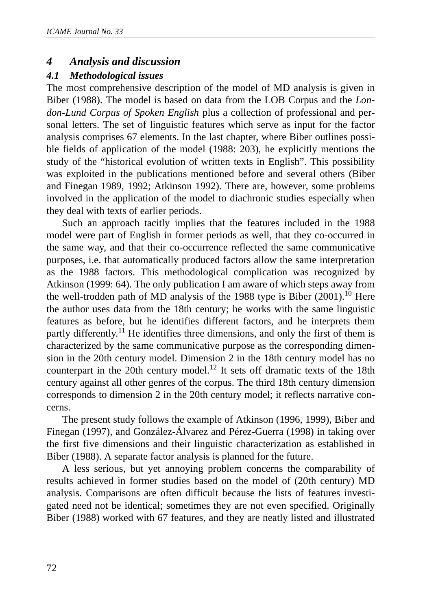### *4 Analysis and discussion*

#### *4.1 Methodological issues*

The most comprehensive description of the model of MD analysis is given in Biber (1988). The model is based on data from the LOB Corpus and the *London-Lund Corpus of Spoken English* plus a collection of professional and personal letters. The set of linguistic features which serve as input for the factor analysis comprises 67 elements. In the last chapter, where Biber outlines possible fields of application of the model (1988: 203), he explicitly mentions the study of the "historical evolution of written texts in English". This possibility was exploited in the publications mentioned before and several others (Biber and Finegan 1989, 1992; Atkinson 1992). There are, however, some problems involved in the application of the model to diachronic studies especially when they deal with texts of earlier periods.

Such an approach tacitly implies that the features included in the 1988 model were part of English in former periods as well, that they co-occurred in the same way, and that their co-occurrence reflected the same communicative purposes, i.e. that automatically produced factors allow the same interpretation as the 1988 factors. This methodological complication was recognized by Atkinson (1999: 64). The only publication I am aware of which steps away from the well-trodden path of MD analysis of the 1988 type is Biber  $(2001)$ .<sup>10</sup> Here the author uses data from the 18th century; he works with the same linguistic features as before, but he identifies different factors, and he interprets them partly differently.<sup>11</sup> He identifies three dimensions, and only the first of them is characterized by the same communicative purpose as the corresponding dimension in the 20th century model. Dimension 2 in the 18th century model has no counterpart in the 20th century model.<sup>12</sup> It sets off dramatic texts of the 18th century against all other genres of the corpus. The third 18th century dimension corresponds to dimension 2 in the 20th century model; it reflects narrative concerns.

The present study follows the example of Atkinson (1996, 1999), Biber and Finegan (1997), and González-Álvarez and Pérez-Guerra (1998) in taking over the first five dimensions and their linguistic characterization as established in Biber (1988). A separate factor analysis is planned for the future.

A less serious, but yet annoying problem concerns the comparability of results achieved in former studies based on the model of (20th century) MD analysis. Comparisons are often difficult because the lists of features investigated need not be identical; sometimes they are not even specified. Originally Biber (1988) worked with 67 features, and they are neatly listed and illustrated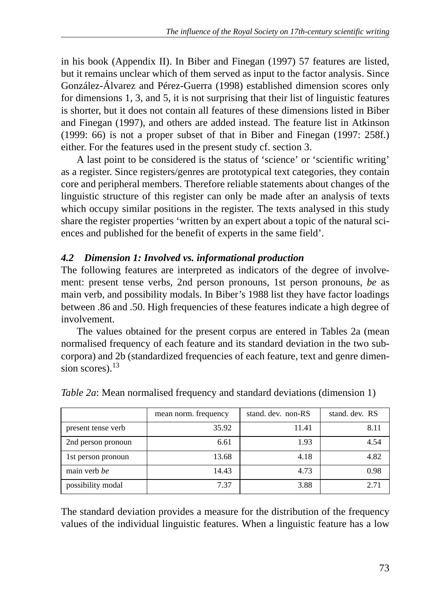in his book (Appendix II). In Biber and Finegan (1997) 57 features are listed, but it remains unclear which of them served as input to the factor analysis. Since González-Álvarez and Pérez-Guerra (1998) established dimension scores only for dimensions 1, 3, and 5, it is not surprising that their list of linguistic features is shorter, but it does not contain all features of these dimensions listed in Biber and Finegan (1997), and others are added instead. The feature list in Atkinson (1999: 66) is not a proper subset of that in Biber and Finegan (1997: 258f.) either. For the features used in the present study cf. section 3.

A last point to be considered is the status of 'science' or 'scientific writing' as a register. Since registers/genres are prototypical text categories, they contain core and peripheral members. Therefore reliable statements about changes of the linguistic structure of this register can only be made after an analysis of texts which occupy similar positions in the register. The texts analysed in this study share the register properties 'written by an expert about a topic of the natural sciences and published for the benefit of experts in the same field'.

# *4.2 Dimension 1: Involved vs. informational production*

The following features are interpreted as indicators of the degree of involvement: present tense verbs, 2nd person pronouns, 1st person pronouns, *be* as main verb, and possibility modals. In Biber's 1988 list they have factor loadings between .86 and .50. High frequencies of these features indicate a high degree of involvement.

The values obtained for the present corpus are entered in Tables 2a (mean normalised frequency of each feature and its standard deviation in the two subcorpora) and 2b (standardized frequencies of each feature, text and genre dimension scores).<sup>13</sup>

|                    | mean norm. frequency | stand, dev. non-RS | stand, dev. RS |
|--------------------|----------------------|--------------------|----------------|
| present tense verb | 35.92                | 11.41              | 8.11           |
| 2nd person pronoun | 6.61                 | 1.93               | 4.54           |
| 1st person pronoun | 13.68                | 4.18               | 4.82           |
| main verb be       | 14.43                | 4.73               | 0.98           |
| possibility modal  | 7.37                 | 3.88               | 2.71           |

*Table 2a*: Mean normalised frequency and standard deviations (dimension 1)

The standard deviation provides a measure for the distribution of the frequency values of the individual linguistic features. When a linguistic feature has a low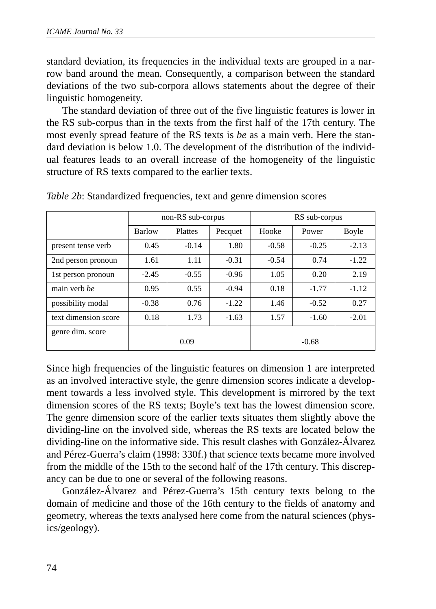standard deviation, its frequencies in the individual texts are grouped in a narrow band around the mean. Consequently, a comparison between the standard deviations of the two sub-corpora allows statements about the degree of their linguistic homogeneity.

The standard deviation of three out of the five linguistic features is lower in the RS sub-corpus than in the texts from the first half of the 17th century. The most evenly spread feature of the RS texts is *be* as a main verb. Here the standard deviation is below 1.0. The development of the distribution of the individual features leads to an overall increase of the homogeneity of the linguistic structure of RS texts compared to the earlier texts.

|                      | non-RS sub-corpus |         |         | RS sub-corpus |         |         |  |
|----------------------|-------------------|---------|---------|---------------|---------|---------|--|
|                      | <b>Barlow</b>     | Plattes | Pecquet | Hooke         | Power   | Boyle   |  |
| present tense verb   | 0.45              | $-0.14$ | 1.80    | $-0.58$       | $-0.25$ | $-2.13$ |  |
| 2nd person pronoun   | 1.61              | 1.11    | $-0.31$ | $-0.54$       | 0.74    | $-1.22$ |  |
| 1st person pronoun   | $-2.45$           | $-0.55$ | $-0.96$ | 1.05          | 0.20    | 2.19    |  |
| main verb be         | 0.95              | 0.55    | $-0.94$ | 0.18          | $-1.77$ | $-1.12$ |  |
| possibility modal    | $-0.38$           | 0.76    | $-1.22$ | 1.46          | $-0.52$ | 0.27    |  |
| text dimension score | 0.18              | 1.73    | $-1.63$ | 1.57          | $-1.60$ | $-2.01$ |  |
| genre dim. score     |                   | 0.09    |         |               | $-0.68$ |         |  |

*Table 2b*: Standardized frequencies, text and genre dimension scores

Since high frequencies of the linguistic features on dimension 1 are interpreted as an involved interactive style, the genre dimension scores indicate a development towards a less involved style. This development is mirrored by the text dimension scores of the RS texts; Boyle's text has the lowest dimension score. The genre dimension score of the earlier texts situates them slightly above the dividing-line on the involved side, whereas the RS texts are located below the dividing-line on the informative side. This result clashes with González-Álvarez and Pérez-Guerra's claim (1998: 330f.) that science texts became more involved from the middle of the 15th to the second half of the 17th century. This discrepancy can be due to one or several of the following reasons.

González-Álvarez and Pérez-Guerra's 15th century texts belong to the domain of medicine and those of the 16th century to the fields of anatomy and geometry, whereas the texts analysed here come from the natural sciences (physics/geology).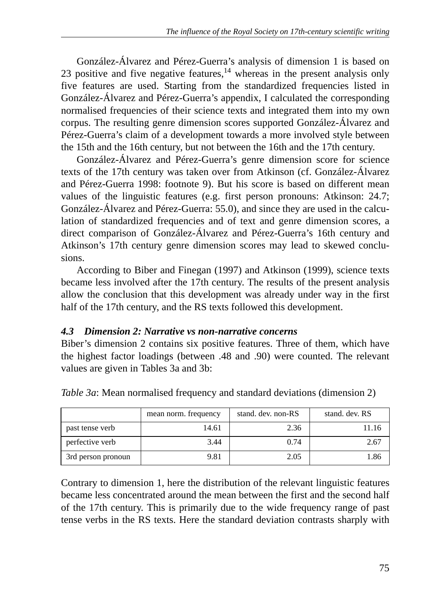González-Álvarez and Pérez-Guerra's analysis of dimension 1 is based on 23 positive and five negative features,  $14$  whereas in the present analysis only five features are used. Starting from the standardized frequencies listed in González-Álvarez and Pérez-Guerra's appendix, I calculated the corresponding normalised frequencies of their science texts and integrated them into my own corpus. The resulting genre dimension scores supported González-Álvarez and Pérez-Guerra's claim of a development towards a more involved style between the 15th and the 16th century, but not between the 16th and the 17th century.

González-Álvarez and Pérez-Guerra's genre dimension score for science texts of the 17th century was taken over from Atkinson (cf. González-Álvarez and Pérez-Guerra 1998: footnote 9). But his score is based on different mean values of the linguistic features (e.g. first person pronouns: Atkinson: 24.7; González-Álvarez and Pérez-Guerra: 55.0), and since they are used in the calculation of standardized frequencies and of text and genre dimension scores, a direct comparison of González-Álvarez and Pérez-Guerra's 16th century and Atkinson's 17th century genre dimension scores may lead to skewed conclusions.

According to Biber and Finegan (1997) and Atkinson (1999), science texts became less involved after the 17th century. The results of the present analysis allow the conclusion that this development was already under way in the first half of the 17th century, and the RS texts followed this development.

# *4.3 Dimension 2: Narrative vs non-narrative concerns*

Biber's dimension 2 contains six positive features. Three of them, which have the highest factor loadings (between .48 and .90) were counted. The relevant values are given in Tables 3a and 3b:

|                    | mean norm. frequency | stand, dev. non-RS | stand, dev. RS |
|--------------------|----------------------|--------------------|----------------|
| past tense verb    | 14.61                | 2.36               | 11.16          |
| perfective verb    | 3.44                 | 0.74               | 2.67           |
| 3rd person pronoun | 9.81                 | 2.05               | 1.86           |

*Table 3a*: Mean normalised frequency and standard deviations (dimension 2)

Contrary to dimension 1, here the distribution of the relevant linguistic features became less concentrated around the mean between the first and the second half of the 17th century. This is primarily due to the wide frequency range of past tense verbs in the RS texts. Here the standard deviation contrasts sharply with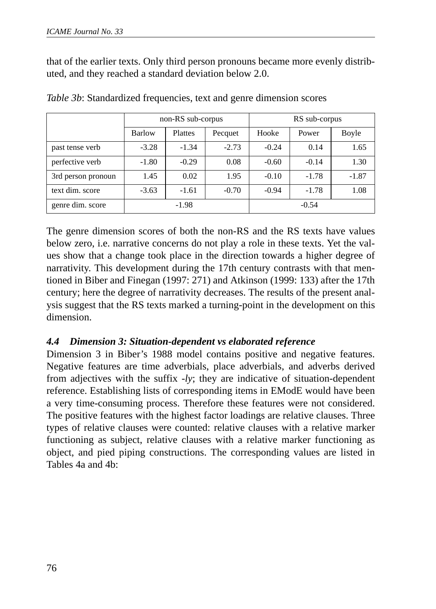that of the earlier texts. Only third person pronouns became more evenly distributed, and they reached a standard deviation below 2.0.

|                    | non-RS sub-corpus |                |         | RS sub-corpus |         |         |
|--------------------|-------------------|----------------|---------|---------------|---------|---------|
|                    | <b>Barlow</b>     | <b>Plattes</b> | Pecquet | Hooke         | Power   | Boyle   |
| past tense verb    | $-3.28$           | $-1.34$        | $-2.73$ | $-0.24$       | 0.14    | 1.65    |
| perfective verb    | $-1.80$           | $-0.29$        | 0.08    | $-0.60$       | $-0.14$ | 1.30    |
| 3rd person pronoun | 1.45              | 0.02           | 1.95    | $-0.10$       | $-1.78$ | $-1.87$ |
| text dim. score    | $-3.63$           | $-1.61$        | $-0.70$ | $-0.94$       | $-1.78$ | 1.08    |
| genre dim. score   |                   | $-1.98$        |         |               | $-0.54$ |         |

*Table 3b*: Standardized frequencies, text and genre dimension scores

The genre dimension scores of both the non-RS and the RS texts have values below zero, i.e. narrative concerns do not play a role in these texts. Yet the values show that a change took place in the direction towards a higher degree of narrativity. This development during the 17th century contrasts with that mentioned in Biber and Finegan (1997: 271) and Atkinson (1999: 133) after the 17th century; here the degree of narrativity decreases. The results of the present analysis suggest that the RS texts marked a turning-point in the development on this dimension.

### *4.4 Dimension 3: Situation-dependent vs elaborated reference*

Dimension 3 in Biber's 1988 model contains positive and negative features. Negative features are time adverbials, place adverbials, and adverbs derived from adjectives with the suffix *-ly*; they are indicative of situation-dependent reference. Establishing lists of corresponding items in EModE would have been a very time-consuming process. Therefore these features were not considered. The positive features with the highest factor loadings are relative clauses. Three types of relative clauses were counted: relative clauses with a relative marker functioning as subject, relative clauses with a relative marker functioning as object, and pied piping constructions. The corresponding values are listed in Tables 4a and 4b: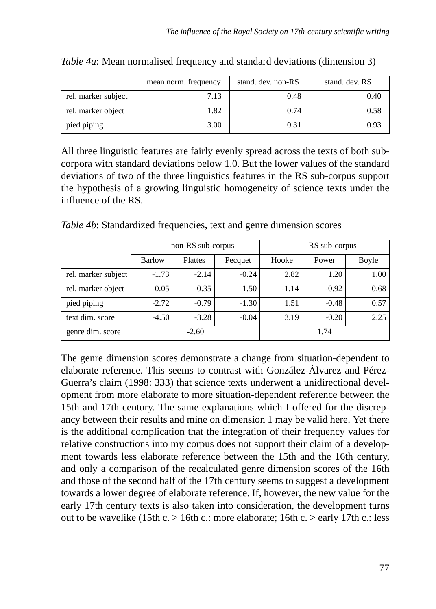|                     | mean norm. frequency | stand, dev. non-RS | stand, dev. RS |
|---------------------|----------------------|--------------------|----------------|
| rel. marker subject | 7.13                 | 0.48               | 0.40           |
| rel. marker object  | 1.82                 | 0.74               | 0.58           |
| pied piping         | 3.00                 | 0.31               | 0.93           |

| Table 4a: Mean normalised frequency and standard deviations (dimension 3) |  |  |  |
|---------------------------------------------------------------------------|--|--|--|
|                                                                           |  |  |  |
|                                                                           |  |  |  |

All three linguistic features are fairly evenly spread across the texts of both subcorpora with standard deviations below 1.0. But the lower values of the standard deviations of two of the three linguistics features in the RS sub-corpus support the hypothesis of a growing linguistic homogeneity of science texts under the influence of the RS.

|                     | non-RS sub-corpus |         |         | RS sub-corpus |         |       |
|---------------------|-------------------|---------|---------|---------------|---------|-------|
|                     | <b>Barlow</b>     | Plattes | Pecquet | Hooke         | Power   | Boyle |
| rel. marker subject | $-1.73$           | $-2.14$ | $-0.24$ | 2.82          | 1.20    | 1.00  |
| rel. marker object  | $-0.05$           | $-0.35$ | 1.50    | $-1.14$       | $-0.92$ | 0.68  |
| pied piping         | $-2.72$           | $-0.79$ | $-1.30$ | 1.51          | $-0.48$ | 0.57  |
| text dim. score     | $-4.50$           | $-3.28$ | $-0.04$ | 3.19          | $-0.20$ | 2.25  |
| genre dim. score    |                   | $-2.60$ |         |               | 1.74    |       |

*Table 4b*: Standardized frequencies, text and genre dimension scores

The genre dimension scores demonstrate a change from situation-dependent to elaborate reference. This seems to contrast with González-Álvarez and Pérez-Guerra's claim (1998: 333) that science texts underwent a unidirectional development from more elaborate to more situation-dependent reference between the 15th and 17th century. The same explanations which I offered for the discrepancy between their results and mine on dimension 1 may be valid here. Yet there is the additional complication that the integration of their frequency values for relative constructions into my corpus does not support their claim of a development towards less elaborate reference between the 15th and the 16th century, and only a comparison of the recalculated genre dimension scores of the 16th and those of the second half of the 17th century seems to suggest a development towards a lower degree of elaborate reference. If, however, the new value for the early 17th century texts is also taken into consideration, the development turns out to be wavelike (15th c. > 16th c.: more elaborate; 16th c. > early 17th c.: less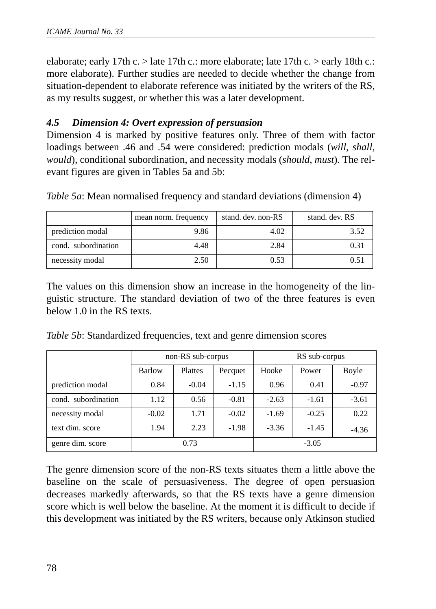elaborate; early 17th c. > late 17th c.: more elaborate; late 17th c. > early 18th c.: more elaborate). Further studies are needed to decide whether the change from situation-dependent to elaborate reference was initiated by the writers of the RS, as my results suggest, or whether this was a later development.

### *4.5 Dimension 4: Overt expression of persuasion*

Dimension 4 is marked by positive features only. Three of them with factor loadings between .46 and .54 were considered: prediction modals (*will*, *shall*, *would*), conditional subordination, and necessity modals (*should*, *must*). The relevant figures are given in Tables 5a and 5b:

|                     | mean norm. frequency | stand, dev. non-RS | stand, dev. RS |
|---------------------|----------------------|--------------------|----------------|
| prediction modal    | 9.86                 | 4.02               | 3.52           |
| cond. subordination | 4.48                 | 2.84               | 0.31           |
| necessity modal     | 2.50                 | 0.53               | 0.51           |

*Table 5a*: Mean normalised frequency and standard deviations (dimension 4)

The values on this dimension show an increase in the homogeneity of the linguistic structure. The standard deviation of two of the three features is even below 1.0 in the RS texts.

*Table 5b*: Standardized frequencies, text and genre dimension scores

|                     | non-RS sub-corpus |                |         | RS sub-corpus |         |         |
|---------------------|-------------------|----------------|---------|---------------|---------|---------|
|                     | <b>Barlow</b>     | <b>Plattes</b> | Pecquet | Hooke         | Power   | Boyle   |
| prediction modal    | 0.84              | $-0.04$        | $-1.15$ | 0.96          | 0.41    | $-0.97$ |
| cond. subordination | 1.12              | 0.56           | $-0.81$ | $-2.63$       | $-1.61$ | $-3.61$ |
| necessity modal     | $-0.02$           | 1.71           | $-0.02$ | $-1.69$       | $-0.25$ | 0.22    |
| text dim. score     | 1.94              | 2.23           | $-1.98$ | $-3.36$       | $-1.45$ | $-4.36$ |
| genre dim. score    | 0.73              |                |         | $-3.05$       |         |         |

The genre dimension score of the non-RS texts situates them a little above the baseline on the scale of persuasiveness. The degree of open persuasion decreases markedly afterwards, so that the RS texts have a genre dimension score which is well below the baseline. At the moment it is difficult to decide if this development was initiated by the RS writers, because only Atkinson studied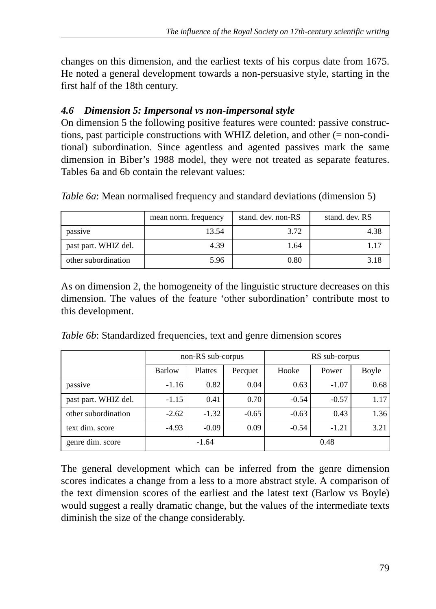changes on this dimension, and the earliest texts of his corpus date from 1675. He noted a general development towards a non-persuasive style, starting in the first half of the 18th century.

## *4.6 Dimension 5: Impersonal vs non-impersonal style*

On dimension 5 the following positive features were counted: passive constructions, past participle constructions with WHIZ deletion, and other (= non-conditional) subordination. Since agentless and agented passives mark the same dimension in Biber's 1988 model, they were not treated as separate features. Tables 6a and 6b contain the relevant values:

|                      | mean norm. frequency | stand, dev. non-RS | stand, dev. RS |
|----------------------|----------------------|--------------------|----------------|
| passive              | 13.54                | 3.72               | 4.38           |
| past part. WHIZ del. | 4.39                 | 1.64               | 1.17           |
| other subordination  | 5.96                 | 0.80               | 3.18           |

*Table 6a*: Mean normalised frequency and standard deviations (dimension 5)

As on dimension 2, the homogeneity of the linguistic structure decreases on this dimension. The values of the feature 'other subordination' contribute most to this development.

*Table 6b*: Standardized frequencies, text and genre dimension scores

|                      | non-RS sub-corpus |         |         | RS sub-corpus |         |       |  |
|----------------------|-------------------|---------|---------|---------------|---------|-------|--|
|                      | <b>Barlow</b>     | Plattes | Pecquet | Hooke         | Power   | Boyle |  |
| passive              | $-1.16$           | 0.82    | 0.04    | 0.63          | $-1.07$ | 0.68  |  |
| past part. WHIZ del. | $-1.15$           | 0.41    | 0.70    | $-0.54$       | $-0.57$ | 1.17  |  |
| other subordination  | $-2.62$           | $-1.32$ | $-0.65$ | $-0.63$       | 0.43    | 1.36  |  |
| text dim. score      | $-4.93$           | $-0.09$ | 0.09    | $-0.54$       | $-1.21$ | 3.21  |  |
| genre dim. score     |                   | $-1.64$ |         |               | 0.48    |       |  |

The general development which can be inferred from the genre dimension scores indicates a change from a less to a more abstract style. A comparison of the text dimension scores of the earliest and the latest text (Barlow vs Boyle) would suggest a really dramatic change, but the values of the intermediate texts diminish the size of the change considerably.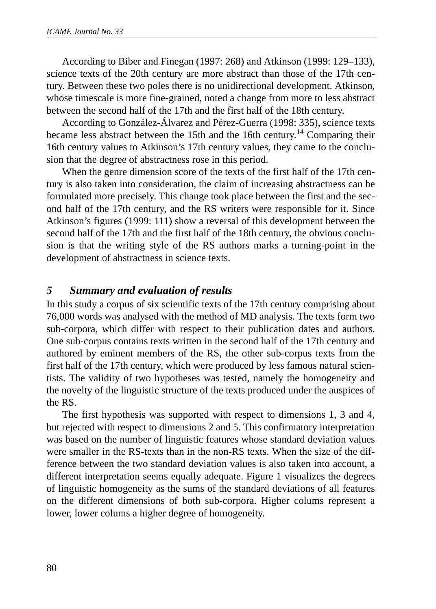According to Biber and Finegan (1997: 268) and Atkinson (1999: 129–133), science texts of the 20th century are more abstract than those of the 17th century. Between these two poles there is no unidirectional development. Atkinson, whose timescale is more fine-grained, noted a change from more to less abstract between the second half of the 17th and the first half of the 18th century.

According to González-Álvarez and Pérez-Guerra (1998: 335), science texts became less abstract between the 15th and the 16th century.14 Comparing their 16th century values to Atkinson's 17th century values, they came to the conclusion that the degree of abstractness rose in this period.

When the genre dimension score of the texts of the first half of the 17th century is also taken into consideration, the claim of increasing abstractness can be formulated more precisely. This change took place between the first and the second half of the 17th century, and the RS writers were responsible for it. Since Atkinson's figures (1999: 111) show a reversal of this development between the second half of the 17th and the first half of the 18th century, the obvious conclusion is that the writing style of the RS authors marks a turning-point in the development of abstractness in science texts.

## *5 Summary and evaluation of results*

In this study a corpus of six scientific texts of the 17th century comprising about 76,000 words was analysed with the method of MD analysis. The texts form two sub-corpora, which differ with respect to their publication dates and authors. One sub-corpus contains texts written in the second half of the 17th century and authored by eminent members of the RS, the other sub-corpus texts from the first half of the 17th century, which were produced by less famous natural scientists. The validity of two hypotheses was tested, namely the homogeneity and the novelty of the linguistic structure of the texts produced under the auspices of the RS.

The first hypothesis was supported with respect to dimensions 1, 3 and 4, but rejected with respect to dimensions 2 and 5. This confirmatory interpretation was based on the number of linguistic features whose standard deviation values were smaller in the RS-texts than in the non-RS texts. When the size of the difference between the two standard deviation values is also taken into account, a different interpretation seems equally adequate. Figure 1 visualizes the degrees of linguistic homogeneity as the sums of the standard deviations of all features on the different dimensions of both sub-corpora. Higher colums represent a lower, lower colums a higher degree of homogeneity.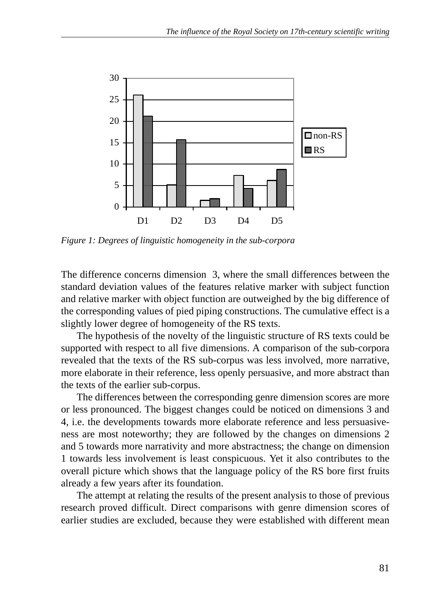

*Figure 1: Degrees of linguistic homogeneity in the sub-corpora*

The difference concerns dimension 3, where the small differences between the standard deviation values of the features relative marker with subject function and relative marker with object function are outweighed by the big difference of the corresponding values of pied piping constructions. The cumulative effect is a slightly lower degree of homogeneity of the RS texts.

The hypothesis of the novelty of the linguistic structure of RS texts could be supported with respect to all five dimensions. A comparison of the sub-corpora revealed that the texts of the RS sub-corpus was less involved, more narrative, more elaborate in their reference, less openly persuasive, and more abstract than the texts of the earlier sub-corpus.

The differences between the corresponding genre dimension scores are more or less pronounced. The biggest changes could be noticed on dimensions 3 and 4, i.e. the developments towards more elaborate reference and less persuasiveness are most noteworthy; they are followed by the changes on dimensions 2 and 5 towards more narrativity and more abstractness; the change on dimension 1 towards less involvement is least conspicuous. Yet it also contributes to the overall picture which shows that the language policy of the RS bore first fruits already a few years after its foundation.

The attempt at relating the results of the present analysis to those of previous research proved difficult. Direct comparisons with genre dimension scores of earlier studies are excluded, because they were established with different mean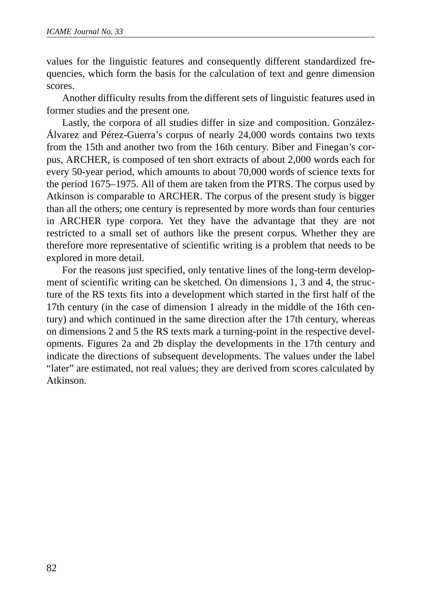values for the linguistic features and consequently different standardized frequencies, which form the basis for the calculation of text and genre dimension scores.

Another difficulty results from the different sets of linguistic features used in former studies and the present one.

Lastly, the corpora of all studies differ in size and composition. González-Álvarez and Pérez-Guerra's corpus of nearly 24,000 words contains two texts from the 15th and another two from the 16th century. Biber and Finegan's corpus, ARCHER, is composed of ten short extracts of about 2,000 words each for every 50-year period, which amounts to about 70,000 words of science texts for the period 1675–1975. All of them are taken from the PTRS. The corpus used by Atkinson is comparable to ARCHER. The corpus of the present study is bigger than all the others; one century is represented by more words than four centuries in ARCHER type corpora. Yet they have the advantage that they are not restricted to a small set of authors like the present corpus. Whether they are therefore more representative of scientific writing is a problem that needs to be explored in more detail.

For the reasons just specified, only tentative lines of the long-term development of scientific writing can be sketched. On dimensions 1, 3 and 4, the structure of the RS texts fits into a development which started in the first half of the 17th century (in the case of dimension 1 already in the middle of the 16th century) and which continued in the same direction after the 17th century, whereas on dimensions 2 and 5 the RS texts mark a turning-point in the respective developments. Figures 2a and 2b display the developments in the 17th century and indicate the directions of subsequent developments. The values under the label "later" are estimated, not real values; they are derived from scores calculated by Atkinson.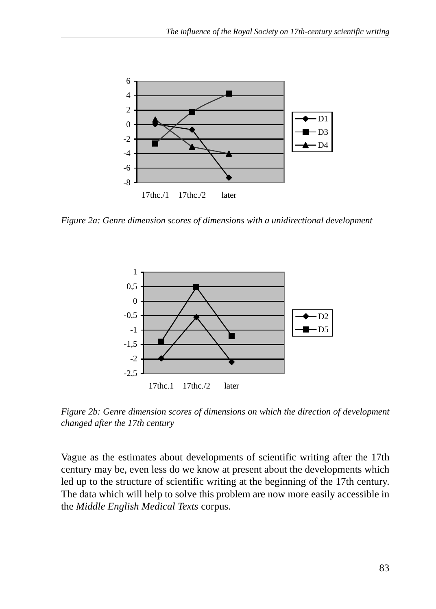

*Figure 2a: Genre dimension scores of dimensions with a unidirectional development*



*Figure 2b: Genre dimension scores of dimensions on which the direction of development changed after the 17th century*

Vague as the estimates about developments of scientific writing after the 17th century may be, even less do we know at present about the developments which led up to the structure of scientific writing at the beginning of the 17th century. The data which will help to solve this problem are now more easily accessible in the *Middle English Medical Texts* corpus.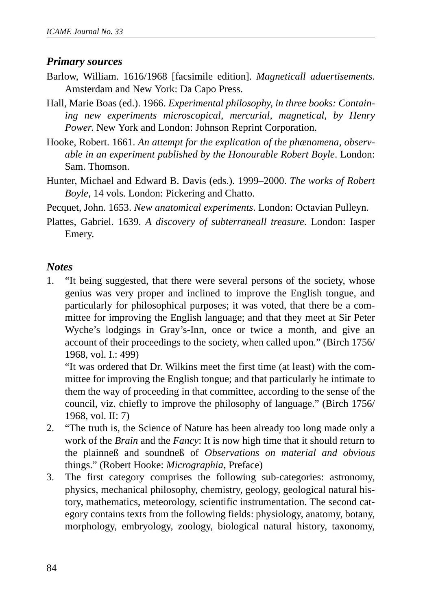## *Primary sources*

- Barlow, William. 1616/1968 [facsimile edition]. *Magneticall aduertisements*. Amsterdam and New York: Da Capo Press.
- Hall, Marie Boas (ed.). 1966. *Experimental philosophy, in three books: Containing new experiments microscopical, mercurial, magnetical, by Henry Power*. New York and London: Johnson Reprint Corporation.
- Hooke, Robert. 1661. *An attempt for the explication of the phænomena, observable in an experiment published by the Honourable Robert Boyle*. London: Sam. Thomson.
- Hunter, Michael and Edward B. Davis (eds.). 1999–2000. *The works of Robert Boyle*, 14 vols. London: Pickering and Chatto.

Pecquet, John. 1653. *New anatomical experiments*. London: Octavian Pulleyn.

Plattes, Gabriel. 1639. *A discovery of subterraneall treasure*. London: Iasper Emery.

## *Notes*

1. "It being suggested, that there were several persons of the society, whose genius was very proper and inclined to improve the English tongue, and particularly for philosophical purposes; it was voted, that there be a committee for improving the English language; and that they meet at Sir Peter Wyche's lodgings in Gray's-Inn, once or twice a month, and give an account of their proceedings to the society, when called upon." (Birch 1756/ 1968, vol. I.: 499)

"It was ordered that Dr. Wilkins meet the first time (at least) with the committee for improving the English tongue; and that particularly he intimate to them the way of proceeding in that committee, according to the sense of the council, viz. chiefly to improve the philosophy of language." (Birch 1756/ 1968, vol. II: 7)

- 2. "The truth is, the Science of Nature has been already too long made only a work of the *Brain* and the *Fancy*: It is now high time that it should return to the plainneß and soundneß of *Observations on material and obvious* things." (Robert Hooke: *Micrographia*, Preface)
- 3. The first category comprises the following sub-categories: astronomy, physics, mechanical philosophy, chemistry, geology, geological natural history, mathematics, meteorology, scientific instrumentation. The second category contains texts from the following fields: physiology, anatomy, botany, morphology, embryology, zoology, biological natural history, taxonomy,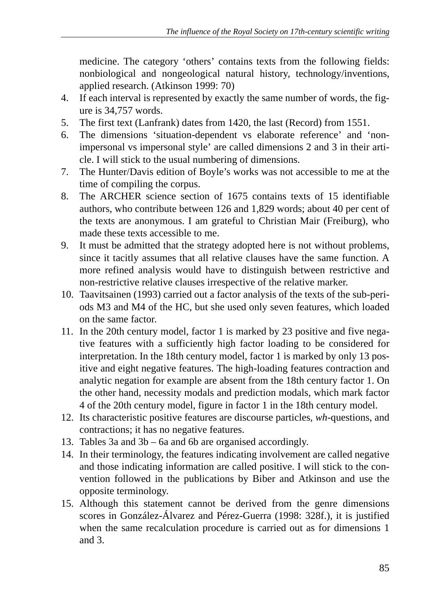medicine. The category 'others' contains texts from the following fields: nonbiological and nongeological natural history, technology/inventions, applied research. (Atkinson 1999: 70)

- 4. If each interval is represented by exactly the same number of words, the figure is 34,757 words.
- 5. The first text (Lanfrank) dates from 1420, the last (Record) from 1551.
- 6. The dimensions 'situation-dependent vs elaborate reference' and 'nonimpersonal vs impersonal style' are called dimensions 2 and 3 in their article. I will stick to the usual numbering of dimensions.
- 7. The Hunter/Davis edition of Boyle's works was not accessible to me at the time of compiling the corpus.
- 8. The ARCHER science section of 1675 contains texts of 15 identifiable authors, who contribute between 126 and 1,829 words; about 40 per cent of the texts are anonymous. I am grateful to Christian Mair (Freiburg), who made these texts accessible to me.
- 9. It must be admitted that the strategy adopted here is not without problems, since it tacitly assumes that all relative clauses have the same function. A more refined analysis would have to distinguish between restrictive and non-restrictive relative clauses irrespective of the relative marker.
- 10. Taavitsainen (1993) carried out a factor analysis of the texts of the sub-periods M3 and M4 of the HC, but she used only seven features, which loaded on the same factor.
- 11. In the 20th century model, factor 1 is marked by 23 positive and five negative features with a sufficiently high factor loading to be considered for interpretation. In the 18th century model, factor 1 is marked by only 13 positive and eight negative features. The high-loading features contraction and analytic negation for example are absent from the 18th century factor 1. On the other hand, necessity modals and prediction modals, which mark factor 4 of the 20th century model, figure in factor 1 in the 18th century model.
- 12. Its characteristic positive features are discourse particles, *wh*-questions, and contractions; it has no negative features.
- 13. Tables 3a and 3b 6a and 6b are organised accordingly.
- 14. In their terminology, the features indicating involvement are called negative and those indicating information are called positive. I will stick to the convention followed in the publications by Biber and Atkinson and use the opposite terminology.
- 15. Although this statement cannot be derived from the genre dimensions scores in González-Álvarez and Pérez-Guerra (1998: 328f.), it is justified when the same recalculation procedure is carried out as for dimensions 1 and 3.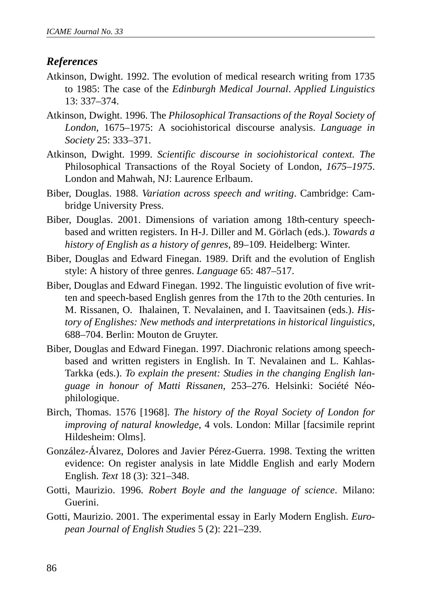## *References*

- Atkinson, Dwight. 1992. The evolution of medical research writing from 1735 to 1985: The case of the *Edinburgh Medical Journal*. *Applied Linguistics* 13: 337–374.
- Atkinson, Dwight. 1996. The *Philosophical Transactions of the Royal Society of London*, 1675–1975: A sociohistorical discourse analysis. *Language in Society* 25: 333–371.
- Atkinson, Dwight. 1999. *Scientific discourse in sociohistorical context. The* Philosophical Transactions of the Royal Society of London*, 1675–1975*. London and Mahwah, NJ: Laurence Erlbaum.
- Biber, Douglas. 1988. *Variation across speech and writing*. Cambridge: Cambridge University Press.
- Biber, Douglas. 2001. Dimensions of variation among 18th-century speechbased and written registers. In H-J. Diller and M. Görlach (eds.). *Towards a history of English as a history of genres*, 89–109. Heidelberg: Winter.
- Biber, Douglas and Edward Finegan. 1989. Drift and the evolution of English style: A history of three genres. *Language* 65: 487–517.
- Biber, Douglas and Edward Finegan. 1992. The linguistic evolution of five written and speech-based English genres from the 17th to the 20th centuries. In M. Rissanen, O. Ihalainen, T. Nevalainen, and I. Taavitsainen (eds.). *History of Englishes: New methods and interpretations in historical linguistics*, 688–704. Berlin: Mouton de Gruyter.
- Biber, Douglas and Edward Finegan. 1997. Diachronic relations among speechbased and written registers in English. In T. Nevalainen and L. Kahlas-Tarkka (eds.). *To explain the present: Studies in the changing English language in honour of Matti Rissanen*, 253–276. Helsinki: Société Néophilologique.
- Birch, Thomas. 1576 [1968]. *The history of the Royal Society of London for improving of natural knowledge*, 4 vols. London: Millar [facsimile reprint Hildesheim: Olms].
- González-Álvarez, Dolores and Javier Pérez-Guerra. 1998. Texting the written evidence: On register analysis in late Middle English and early Modern English. *Text* 18 (3): 321–348.
- Gotti, Maurizio. 1996. *Robert Boyle and the language of science*. Milano: Guerini.
- Gotti, Maurizio. 2001. The experimental essay in Early Modern English. *European Journal of English Studies* 5 (2): 221–239.